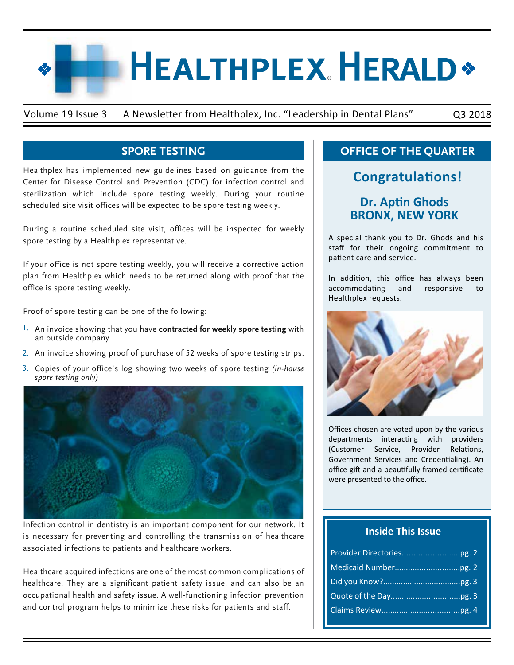# **HEALTHPLEX HERALD\***

Volume 19 Issue 3 A Newsletter from Healthplex, Inc. "Leadership in Dental Plans" Q3 2018

# **SPORE TESTING**

Healthplex has implemented new guidelines based on guidance from the Center for Disease Control and Prevention (CDC) for infection control and sterilization which include spore testing weekly. During your routine scheduled site visit offices will be expected to be spore testing weekly.

During a routine scheduled site visit, offices will be inspected for weekly spore testing by a Healthplex representative.

If your office is not spore testing weekly, you will receive a corrective action plan from Healthplex which needs to be returned along with proof that the office is spore testing weekly.

Proof of spore testing can be one of the following:

- 1. An invoice showing that you have **contracted for weekly spore testing** with an outside company
- 2. An invoice showing proof of purchase of 52 weeks of spore testing strips.
- Copies of your office's log showing two weeks of spore testing *(in-house*  3.*spore testing only)*



Infection control in dentistry is an important component for our network. It is necessary for preventing and controlling the transmission of healthcare associated infections to patients and healthcare workers.

Healthcare acquired infections are one of the most common complications of healthcare. They are a significant patient safety issue, and can also be an occupational health and safety issue. A well-functioning infection prevention and control program helps to minimize these risks for patients and staff.

## **OFFICE OF THE QUARTER**

# **Congratulations!**

# **Dr. Aptin Ghods BRONX, NEW YORK**

A special thank you to Dr. Ghods and his staff for their ongoing commitment to patient care and service.

In addition, this office has always been accommodating and responsive to Healthplex requests.



Offices chosen are voted upon by the various departments interacting with providers (Customer Service, Provider Relations, Government Services and Credentialing). An office gift and a beautifully framed certificate were presented to the office.

### **Inside This Issue**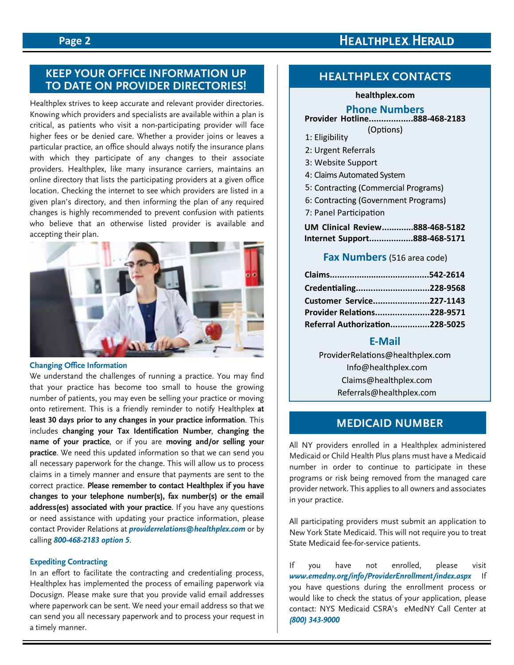# **HEALTHPLEX HERALD**

## **KEEP YOUR OFFICE INFORMATION UP TO DATE ON PROVIDER DIRECTORIES!**

Healthplex strives to keep accurate and relevant provider directories. Knowing which providers and specialists are available within a plan is critical, as patients who visit a non-participating provider will face higher fees or be denied care. Whether a provider joins or leaves a particular practice, an office should always notify the insurance plans with which they participate of any changes to their associate providers. Healthplex, like many insurance carriers, maintains an online directory that lists the participating providers at a given office location. Checking the internet to see which providers are listed in a given plan's directory, and then informing the plan of any required changes is highly recommended to prevent confusion with patients who believe that an otherwise listed provider is available and accepting their plan.



#### **Changing Office Information**

We understand the challenges of running a practice. You may find that your practice has become too small to house the growing number of patients, you may even be selling your practice or moving onto retirement. This is a friendly reminder to notify Healthplex **at least 30 days prior to any changes in your practice information**. This includes **changing your Tax Identification Number**, **changing the name of your practice**, or if you are **moving and/or selling your practice**. We need this updated information so that we can send you all necessary paperwork for the change. This will allow us to process claims in a timely manner and ensure that payments are sent to the correct practice. **Please remember to contact Healthplex if you have changes to your telephone number(s), fax number(s) or the email address(es) associated with your practice**. If you have any questions or need assistance with updating your practice information, please contact Provider Relations at *providerrelations@healthplex.com* or by calling *800-468-2183 option 5*.

#### **Expediting Contracting**

In an effort to facilitate the contracting and credentialing process, Healthplex has implemented the process of emailing paperwork via Docusign. Please make sure that you provide valid email addresses where paperwork can be sent. We need your email address so that we can send you all necessary paperwork and to process your request in a timely manner.

## **HEALTHPLEX CONTACTS**

#### **healthplex.com**

#### **Phone Numbers**

#### **Provider Hotline..................888-468-2183** (Options)

- 1: Eligibility
- 2: Urgent Referrals
- 3: Website Support
- 4: Claims Automated System
- 5: Contracting (Commercial Programs)
- 6: Contracting (Government Programs)
- 7: Panel Participation

**UM Clinical Review.............888-468-5182 Internet Support..................888-468-5171**

#### **Fax Numbers**(516 area code)

| Credentialing228-9568          |  |
|--------------------------------|--|
| Customer Service227-1143       |  |
| Provider Relations228-9571     |  |
| Referral Authorization228-5025 |  |

#### **E-Mail**

ProviderRelations@healthplex.com Info@healthplex.com  Claims@healthplex.com Referrals@healthplex.com

## **MEDICAID NUMBER**

All NY providers enrolled in a Healthplex administered Medicaid or Child Health Plus plans must have a Medicaid number in order to continue to participate in these programs or risk being removed from the managed care provider network. This applies to all owners and associates in your practice.

All participating providers must submit an application to New York State Medicaid. This will not require you to treat State Medicaid fee-for-service patients.

If you have not enrolled, please visit *www.emedny.org/info/ProviderEnrollment/index.aspx* If you have questions during the enrollment process or would like to check the status of your application, please contact: NYS Medicaid CSRA's eMedNY Call Center at *(800) 343-9000*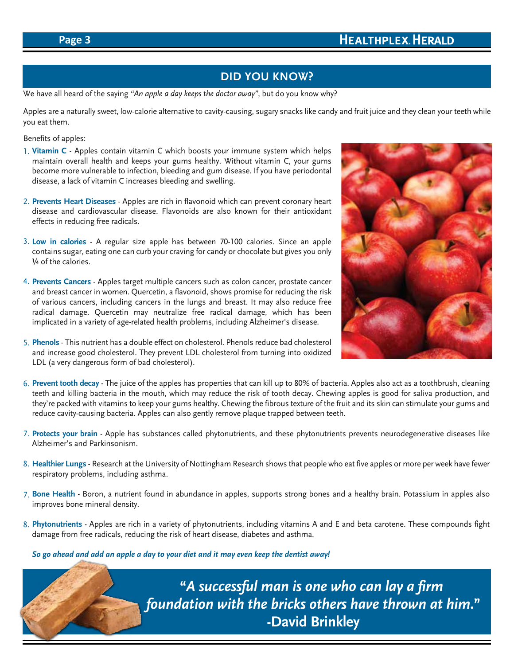## **DID YOU KNOW?**

We have all heard of the saying *"An apple a day keeps the doctor away"*, but do you know why?

Apples are a naturally sweet, low-calorie alternative to cavity-causing, sugary snacks like candy and fruit juice and they clean your teeth while you eat them.

Benefits of apples:

- **Vitamin C**  Apples contain vitamin C which boosts your immune system which helps 1. maintain overall health and keeps your gums healthy. Without vitamin C, your gums become more vulnerable to infection, bleeding and gum disease. If you have periodontal disease, a lack of vitamin C increases bleeding and swelling.
- **Prevents Heart Diseases** Apples are rich in flavonoid which can prevent coronary heart 2. disease and cardiovascular disease. Flavonoids are also known for their antioxidant effects in reducing free radicals.
- **Low in calories** A regular size apple has between 70-100 calories. Since an apple 3. contains sugar, eating one can curb your craving for candy or chocolate but gives you only ¼ of the calories.
- **Prevents Cancers**  Apples target multiple cancers such as colon cancer, prostate cancer 4. and breast cancer in women. Quercetin, a flavonoid, shows promise for reducing the risk of various cancers, including cancers in the lungs and breast. It may also reduce free radical damage. Quercetin may neutralize free radical damage, which has been implicated in a variety of age-related health problems, including Alzheimer's disease.
- **Phenols** This nutrient has a double effect on cholesterol. Phenols reduce bad cholesterol 5. and increase good cholesterol. They prevent LDL cholesterol from turning into oxidized LDL (a very dangerous form of bad cholesterol).



- **Prevent tooth decay** The juice of the apples has properties that can kill up to 80% of bacteria. Apples also act as a toothbrush, cleaning 6. teeth and killing bacteria in the mouth, which may reduce the risk of tooth decay. Chewing apples is good for saliva production, and they're packed with vitamins to keep your gums healthy. Chewing the fibrous texture of the fruit and its skin can stimulate your gums and reduce cavity-causing bacteria. Apples can also gently remove plaque trapped between teeth.
- **Protects your brain** Apple has substances called phytonutrients, and these phytonutrients prevents neurodegenerative diseases like 7. Alzheimer's and Parkinsonism.
- **Healthier Lungs** Research at the University of Nottingham Research shows that people who eat five apples or more per week have fewer 8. respiratory problems, including asthma.
- **Bone Health** Boron, a nutrient found in abundance in apples, supports strong bones and a healthy brain. Potassium in apples also 7. improves bone mineral density.
- **Phytonutrients** Apples are rich in a variety of phytonutrients, including vitamins A and E and beta carotene. These compounds fight 8. damage from free radicals, reducing the risk of heart disease, diabetes and asthma.

*So go ahead and add an apple a day to your diet and it may even keep the dentist away!*

**"***A successful man is one who can lay a firm foundation with the bricks others have thrown at him***." Brinkley**